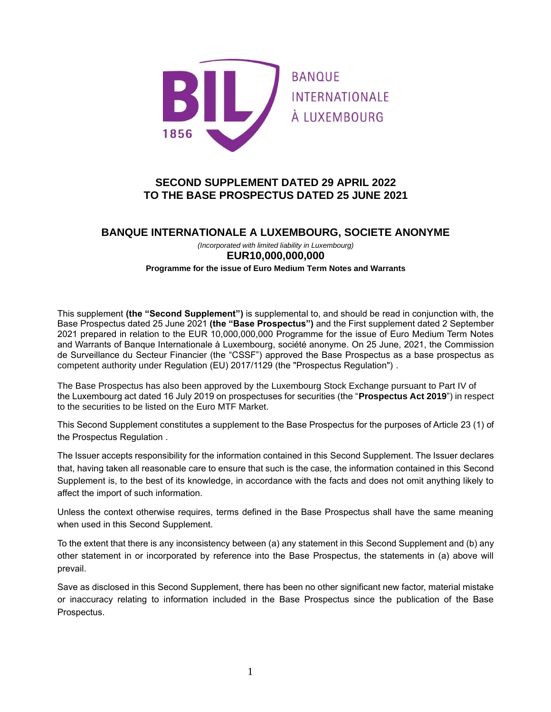

# **SECOND SUPPLEMENT DATED 29 APRIL 2022 TO THE BASE PROSPECTUS DATED 25 JUNE 2021**

## **BANQUE INTERNATIONALE A LUXEMBOURG, SOCIETE ANONYME**

*(Incorporated with limited liability in Luxembourg)* **EUR10,000,000,000 Programme for the issue of Euro Medium Term Notes and Warrants**

This supplement **(the "Second Supplement")** is supplemental to, and should be read in conjunction with, the Base Prospectus dated 25 June 2021 **(the "Base Prospectus")** and the First supplement dated 2 September 2021 prepared in relation to the EUR 10,000,000,000 Programme for the issue of Euro Medium Term Notes and Warrants of Banque Internationale à Luxembourg, société anonyme. On 25 June, 2021, the Commission de Surveillance du Secteur Financier (the "CSSF") approved the Base Prospectus as a base prospectus as competent authority under Regulation (EU) 2017/1129 (the "Prospectus Regulation") .

The Base Prospectus has also been approved by the Luxembourg Stock Exchange pursuant to Part IV of the Luxembourg act dated 16 July 2019 on prospectuses for securities (the "**Prospectus Act 2019**") in respect to the securities to be listed on the Euro MTF Market.

This Second Supplement constitutes a supplement to the Base Prospectus for the purposes of Article 23 (1) of the Prospectus Regulation .

The Issuer accepts responsibility for the information contained in this Second Supplement. The Issuer declares that, having taken all reasonable care to ensure that such is the case, the information contained in this Second Supplement is, to the best of its knowledge, in accordance with the facts and does not omit anything likely to affect the import of such information.

Unless the context otherwise requires, terms defined in the Base Prospectus shall have the same meaning when used in this Second Supplement.

To the extent that there is any inconsistency between (a) any statement in this Second Supplement and (b) any other statement in or incorporated by reference into the Base Prospectus, the statements in (a) above will prevail.

Save as disclosed in this Second Supplement, there has been no other significant new factor, material mistake or inaccuracy relating to information included in the Base Prospectus since the publication of the Base Prospectus.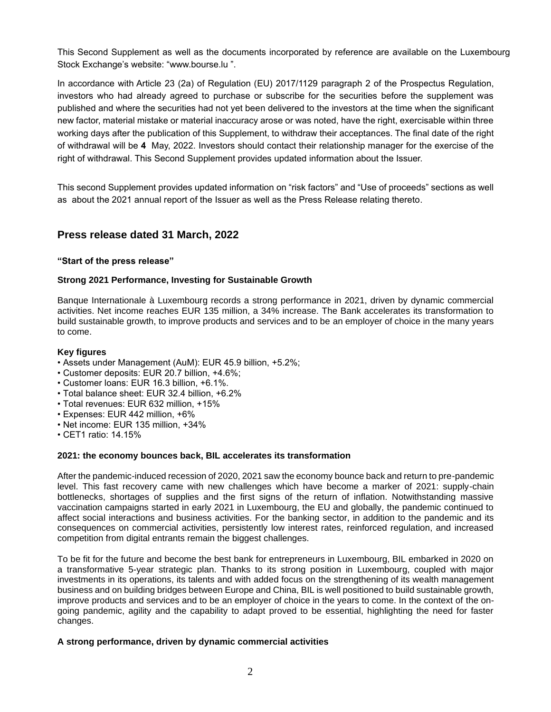This Second Supplement as well as the documents incorporated by reference are available on the Luxembourg Stock Exchange's website: "www.bourse.lu ".

In accordance with Article 23 (2a) of Regulation (EU) 2017/1129 paragraph 2 of the Prospectus Regulation, investors who had already agreed to purchase or subscribe for the securities before the supplement was published and where the securities had not yet been delivered to the investors at the time when the significant new factor, material mistake or material inaccuracy arose or was noted, have the right, exercisable within three working days after the publication of this Supplement, to withdraw their acceptances. The final date of the right of withdrawal will be **4** May, 2022. Investors should contact their relationship manager for the exercise of the right of withdrawal. This Second Supplement provides updated information about the Issuer.

This second Supplement provides updated information on "risk factors" and "Use of proceeds" sections as well as about the 2021 annual report of the Issuer as well as the Press Release relating thereto.

## **Press release dated 31 March, 2022**

### **"Start of the press release"**

### **Strong 2021 Performance, Investing for Sustainable Growth**

Banque Internationale à Luxembourg records a strong performance in 2021, driven by dynamic commercial activities. Net income reaches EUR 135 million, a 34% increase. The Bank accelerates its transformation to build sustainable growth, to improve products and services and to be an employer of choice in the many years to come.

### **Key figures**

- Assets under Management (AuM): EUR 45.9 billion, +5.2%;
- Customer deposits: EUR 20.7 billion, +4.6%;
- Customer loans: EUR 16.3 billion, +6.1%.
- Total balance sheet: EUR 32.4 billion, +6.2%
- Total revenues: EUR 632 million, +15%
- Expenses: EUR 442 million, +6%
- Net income: EUR 135 million, +34%
- CET1 ratio: 14.15%

### **2021: the economy bounces back, BIL accelerates its transformation**

After the pandemic-induced recession of 2020, 2021 saw the economy bounce back and return to pre-pandemic level. This fast recovery came with new challenges which have become a marker of 2021: supply-chain bottlenecks, shortages of supplies and the first signs of the return of inflation. Notwithstanding massive vaccination campaigns started in early 2021 in Luxembourg, the EU and globally, the pandemic continued to affect social interactions and business activities. For the banking sector, in addition to the pandemic and its consequences on commercial activities, persistently low interest rates, reinforced regulation, and increased competition from digital entrants remain the biggest challenges.

To be fit for the future and become the best bank for entrepreneurs in Luxembourg, BIL embarked in 2020 on a transformative 5-year strategic plan. Thanks to its strong position in Luxembourg, coupled with major investments in its operations, its talents and with added focus on the strengthening of its wealth management business and on building bridges between Europe and China, BIL is well positioned to build sustainable growth, improve products and services and to be an employer of choice in the years to come. In the context of the ongoing pandemic, agility and the capability to adapt proved to be essential, highlighting the need for faster changes.

### **A strong performance, driven by dynamic commercial activities**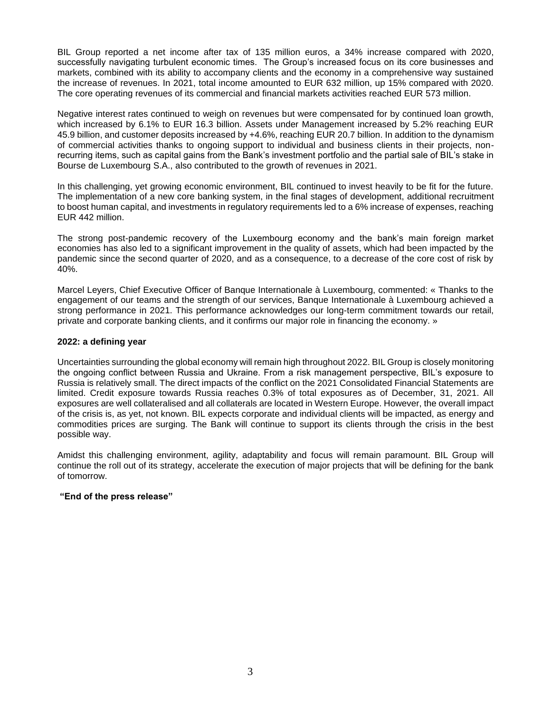BIL Group reported a net income after tax of 135 million euros, a 34% increase compared with 2020, successfully navigating turbulent economic times. The Group's increased focus on its core businesses and markets, combined with its ability to accompany clients and the economy in a comprehensive way sustained the increase of revenues. In 2021, total income amounted to EUR 632 million, up 15% compared with 2020. The core operating revenues of its commercial and financial markets activities reached EUR 573 million.

Negative interest rates continued to weigh on revenues but were compensated for by continued loan growth, which increased by 6.1% to EUR 16.3 billion. Assets under Management increased by 5.2% reaching EUR 45.9 billion, and customer deposits increased by +4.6%, reaching EUR 20.7 billion. In addition to the dynamism of commercial activities thanks to ongoing support to individual and business clients in their projects, nonrecurring items, such as capital gains from the Bank's investment portfolio and the partial sale of BIL's stake in Bourse de Luxembourg S.A., also contributed to the growth of revenues in 2021.

In this challenging, yet growing economic environment, BIL continued to invest heavily to be fit for the future. The implementation of a new core banking system, in the final stages of development, additional recruitment to boost human capital, and investments in regulatory requirements led to a 6% increase of expenses, reaching EUR 442 million.

The strong post-pandemic recovery of the Luxembourg economy and the bank's main foreign market economies has also led to a significant improvement in the quality of assets, which had been impacted by the pandemic since the second quarter of 2020, and as a consequence, to a decrease of the core cost of risk by 40%.

Marcel Leyers, Chief Executive Officer of Banque Internationale à Luxembourg, commented: « Thanks to the engagement of our teams and the strength of our services, Banque Internationale à Luxembourg achieved a strong performance in 2021. This performance acknowledges our long-term commitment towards our retail, private and corporate banking clients, and it confirms our major role in financing the economy. »

### **2022: a defining year**

Uncertainties surrounding the global economy will remain high throughout 2022. BIL Group is closely monitoring the ongoing conflict between Russia and Ukraine. From a risk management perspective, BIL's exposure to Russia is relatively small. The direct impacts of the conflict on the 2021 Consolidated Financial Statements are limited. Credit exposure towards Russia reaches 0.3% of total exposures as of December, 31, 2021. All exposures are well collateralised and all collaterals are located in Western Europe. However, the overall impact of the crisis is, as yet, not known. BIL expects corporate and individual clients will be impacted, as energy and commodities prices are surging. The Bank will continue to support its clients through the crisis in the best possible way.

Amidst this challenging environment, agility, adaptability and focus will remain paramount. BIL Group will continue the roll out of its strategy, accelerate the execution of major projects that will be defining for the bank of tomorrow.

### **"End of the press release"**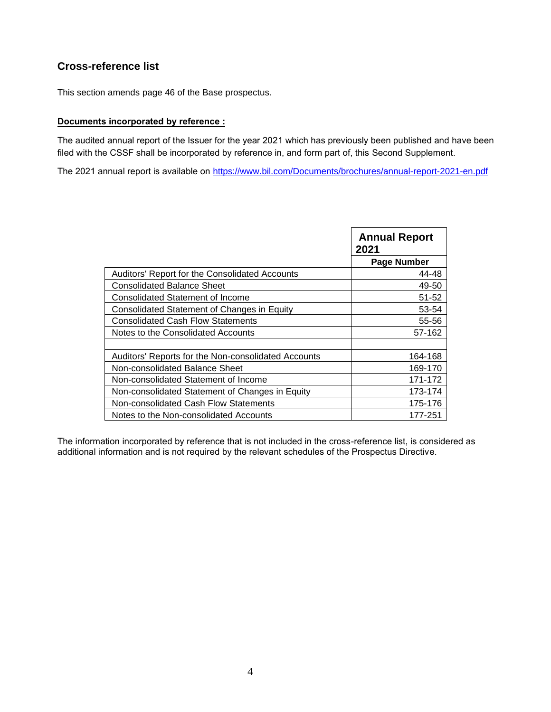# **Cross-reference list**

This section amends page 46 of the Base prospectus.

### **Documents incorporated by reference :**

The audited annual report of the Issuer for the year 2021 which has previously been published and have been filed with the CSSF shall be incorporated by reference in, and form part of, this Second Supplement.

The 2021 annual report is available on [https://www.bil.com/Documents/brochures/annual-report-2021-en.pdf](https://www.bil.com/Documents/brochures/annual-report-2020-en.pdf)

|                                                     | <b>Annual Report</b><br>2021 |
|-----------------------------------------------------|------------------------------|
|                                                     | Page Number                  |
| Auditors' Report for the Consolidated Accounts      | 44-48                        |
| <b>Consolidated Balance Sheet</b>                   | 49-50                        |
| <b>Consolidated Statement of Income</b>             | 51-52                        |
| Consolidated Statement of Changes in Equity         | 53-54                        |
| <b>Consolidated Cash Flow Statements</b>            | 55-56                        |
| Notes to the Consolidated Accounts                  | 57-162                       |
|                                                     |                              |
| Auditors' Reports for the Non-consolidated Accounts | 164-168                      |
| Non-consolidated Balance Sheet                      | 169-170                      |
| Non-consolidated Statement of Income                | 171-172                      |
| Non-consolidated Statement of Changes in Equity     | 173-174                      |
| Non-consolidated Cash Flow Statements               | 175-176                      |
| Notes to the Non-consolidated Accounts              | 177-251                      |

The information incorporated by reference that is not included in the cross-reference list, is considered as additional information and is not required by the relevant schedules of the Prospectus Directive.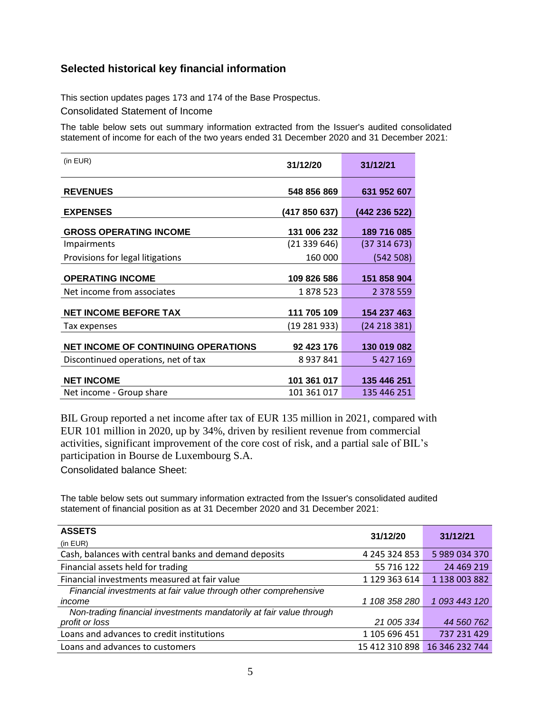# **Selected historical key financial information**

This section updates pages 173 and 174 of the Base Prospectus.

Consolidated Statement of Income

The table below sets out summary information extracted from the Issuer's audited consolidated statement of income for each of the two years ended 31 December 2020 and 31 December 2021:

| (in EUR)                                   | 31/12/20      | 31/12/21      |
|--------------------------------------------|---------------|---------------|
| <b>REVENUES</b>                            | 548 856 869   | 631 952 607   |
| <b>EXPENSES</b>                            | (417 850 637) | (442 236 522) |
| <b>GROSS OPERATING INCOME</b>              | 131 006 232   | 189 716 085   |
| Impairments                                | (21339646)    | (37 314 673)  |
| Provisions for legal litigations           | 160 000       | (542508)      |
| <b>OPERATING INCOME</b>                    | 109 826 586   | 151 858 904   |
| Net income from associates                 | 1878523       | 2 378 559     |
| <b>NET INCOME BEFORE TAX</b>               | 111 705 109   | 154 237 463   |
| Tax expenses                               | (19 281 933)  | (24 218 381)  |
| <b>NET INCOME OF CONTINUING OPERATIONS</b> | 92 423 176    | 130 019 082   |
| Discontinued operations, net of tax        | 8 9 3 7 8 4 1 | 5 427 169     |
| <b>NET INCOME</b>                          | 101 361 017   | 135 446 251   |
| Net income - Group share                   | 101 361 017   | 135 446 251   |

BIL Group reported a net income after tax of EUR 135 million in 2021, compared with EUR 101 million in 2020, up by 34%, driven by resilient revenue from commercial activities, significant improvement of the core cost of risk, and a partial sale of BIL's participation in Bourse de Luxembourg S.A.

Consolidated balance Sheet:

The table below sets out summary information extracted from the Issuer's consolidated audited statement of financial position as at 31 December 2020 and 31 December 2021:

| <b>ASSETS</b>                                                       | 31/12/20       | 31/12/21       |
|---------------------------------------------------------------------|----------------|----------------|
| (in EUR)                                                            |                |                |
| Cash, balances with central banks and demand deposits               | 4 245 324 853  | 5 989 034 370  |
| Financial assets held for trading                                   | 55 716 122     | 24 469 219     |
| Financial investments measured at fair value                        | 1 129 363 614  | 1 138 003 882  |
| Financial investments at fair value through other comprehensive     |                |                |
| income                                                              | 1 108 358 280  | 1 093 443 120  |
| Non-trading financial investments mandatorily at fair value through |                |                |
| profit or loss                                                      | 21 005 334     | 44 560 762     |
| Loans and advances to credit institutions                           | 1 105 696 451  | 737 231 429    |
| Loans and advances to customers                                     | 15 412 310 898 | 16 346 232 744 |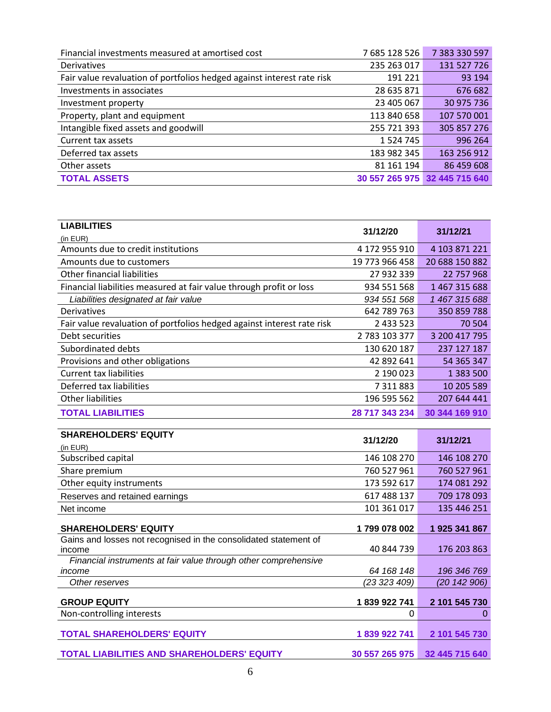| Financial investments measured at amortised cost                       | 7 685 128 526 | 7 383 330 597                 |
|------------------------------------------------------------------------|---------------|-------------------------------|
| <b>Derivatives</b>                                                     | 235 263 017   | 131 527 726                   |
| Fair value revaluation of portfolios hedged against interest rate risk | 191 221       | 93 194                        |
| Investments in associates                                              | 28 635 871    | 676 682                       |
| Investment property                                                    | 23 405 067    | 30 975 736                    |
| Property, plant and equipment                                          | 113 840 658   | 107 570 001                   |
| Intangible fixed assets and goodwill                                   | 255 721 393   | 305 857 276                   |
| Current tax assets                                                     | 1 5 2 4 7 4 5 | 996 264                       |
| Deferred tax assets                                                    | 183 982 345   | 163 256 912                   |
| Other assets                                                           | 81 161 194    | 86 459 608                    |
| <b>TOTAL ASSETS</b>                                                    |               | 30 557 265 975 32 445 715 640 |

| <b>LIABILITIES</b>                                                     | 31/12/20       | 31/12/21       |
|------------------------------------------------------------------------|----------------|----------------|
| (in EUR)                                                               |                |                |
| Amounts due to credit institutions                                     | 4 172 955 910  | 4 103 871 221  |
| Amounts due to customers                                               | 19 773 966 458 | 20 688 150 882 |
| Other financial liabilities                                            | 27 932 339     | 22 757 968     |
| Financial liabilities measured at fair value through profit or loss    | 934 551 568    | 1 467 315 688  |
| Liabilities designated at fair value                                   | 934 551 568    | 1 467 315 688  |
| Derivatives                                                            | 642 789 763    | 350 859 788    |
| Fair value revaluation of portfolios hedged against interest rate risk | 2 433 523      | 70 504         |
| Debt securities                                                        | 2 783 103 377  | 3 200 417 795  |
| Subordinated debts                                                     | 130 620 187    | 237 127 187    |
| Provisions and other obligations                                       | 42 892 641     | 54 365 347     |
| Current tax liabilities                                                | 2 190 023      | 1 383 500      |
| Deferred tax liabilities                                               | 7 311 883      | 10 205 589     |
| <b>Other liabilities</b>                                               | 196 595 562    | 207 644 441    |
| <b>TOTAL LIABILITIES</b>                                               | 28 717 343 234 | 30 344 169 910 |
|                                                                        |                |                |
| <b>SHAREHOLDERS' EQUITY</b>                                            | 31/12/20       | 31/12/21       |
| (in EUR)                                                               |                |                |
| Subscribed capital                                                     | 146 108 270    | 146 108 270    |
| Chara neomium                                                          | 700 F 27 O G 1 | 7CA FAZ AC1    |

| Subscribed capital                                               | 146 108 270    | 146 108 270    |
|------------------------------------------------------------------|----------------|----------------|
| Share premium                                                    | 760 527 961    | 760 527 961    |
| Other equity instruments                                         | 173 592 617    | 174 081 292    |
| Reserves and retained earnings                                   | 617 488 137    | 709 178 093    |
| Net income                                                       | 101 361 017    | 135 446 251    |
| <b>SHAREHOLDERS' EQUITY</b>                                      | 1799 078 002   | 1925 341 867   |
| Gains and losses not recognised in the consolidated statement of |                |                |
| income                                                           | 40 844 739     | 176 203 863    |
| Financial instruments at fair value through other comprehensive  |                |                |
| income                                                           | 64 168 148     | 196 346 769    |
| Other reserves                                                   | (23 323 409)   | (20142906)     |
| <b>GROUP EQUITY</b>                                              | 1839922741     | 2 101 545 730  |
| Non-controlling interests                                        | 0              | 0              |
| <b>TOTAL SHAREHOLDERS' EQUITY</b>                                | 1839922741     | 2 101 545 730  |
| <b>TOTAL LIABILITIES AND SHAREHOLDERS' EQUITY</b>                | 30 557 265 975 | 32 445 715 640 |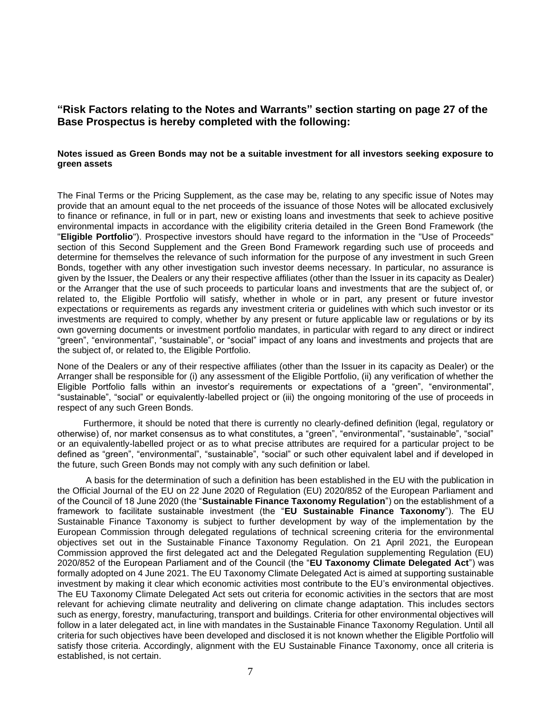## **"Risk Factors relating to the Notes and Warrants" section starting on page 27 of the Base Prospectus is hereby completed with the following:**

### **Notes issued as Green Bonds may not be a suitable investment for all investors seeking exposure to green assets**

The Final Terms or the Pricing Supplement, as the case may be, relating to any specific issue of Notes may provide that an amount equal to the net proceeds of the issuance of those Notes will be allocated exclusively to finance or refinance, in full or in part, new or existing loans and investments that seek to achieve positive environmental impacts in accordance with the eligibility criteria detailed in the Green Bond Framework (the "**Eligible Portfolio**"). Prospective investors should have regard to the information in the "Use of Proceeds" section of this Second Supplement and the Green Bond Framework regarding such use of proceeds and determine for themselves the relevance of such information for the purpose of any investment in such Green Bonds, together with any other investigation such investor deems necessary. In particular, no assurance is given by the Issuer, the Dealers or any their respective affiliates (other than the Issuer in its capacity as Dealer) or the Arranger that the use of such proceeds to particular loans and investments that are the subject of, or related to, the Eligible Portfolio will satisfy, whether in whole or in part, any present or future investor expectations or requirements as regards any investment criteria or guidelines with which such investor or its investments are required to comply, whether by any present or future applicable law or regulations or by its own governing documents or investment portfolio mandates, in particular with regard to any direct or indirect "green", "environmental", "sustainable", or "social" impact of any loans and investments and projects that are the subject of, or related to, the Eligible Portfolio.

None of the Dealers or any of their respective affiliates (other than the Issuer in its capacity as Dealer) or the Arranger shall be responsible for (i) any assessment of the Eligible Portfolio, (ii) any verification of whether the Eligible Portfolio falls within an investor's requirements or expectations of a "green", "environmental", "sustainable", "social" or equivalently-labelled project or (iii) the ongoing monitoring of the use of proceeds in respect of any such Green Bonds.

Furthermore, it should be noted that there is currently no clearly-defined definition (legal, regulatory or otherwise) of, nor market consensus as to what constitutes, a "green", "environmental", "sustainable", "social" or an equivalently-labelled project or as to what precise attributes are required for a particular project to be defined as "green", "environmental", "sustainable", "social" or such other equivalent label and if developed in the future, such Green Bonds may not comply with any such definition or label.

A basis for the determination of such a definition has been established in the EU with the publication in the Official Journal of the EU on 22 June 2020 of Regulation (EU) 2020/852 of the European Parliament and of the Council of 18 June 2020 (the "**Sustainable Finance Taxonomy Regulation**") on the establishment of a framework to facilitate sustainable investment (the "**EU Sustainable Finance Taxonomy**"). The EU Sustainable Finance Taxonomy is subject to further development by way of the implementation by the European Commission through delegated regulations of technical screening criteria for the environmental objectives set out in the Sustainable Finance Taxonomy Regulation. On 21 April 2021, the European Commission approved the first delegated act and the Delegated Regulation supplementing Regulation (EU) 2020/852 of the European Parliament and of the Council (the "**EU Taxonomy Climate Delegated Act**") was formally adopted on 4 June 2021. The EU Taxonomy Climate Delegated Act is aimed at supporting sustainable investment by making it clear which economic activities most contribute to the EU's environmental objectives. The EU Taxonomy Climate Delegated Act sets out criteria for economic activities in the sectors that are most relevant for achieving climate neutrality and delivering on climate change adaptation. This includes sectors such as energy, forestry, manufacturing, transport and buildings. Criteria for other environmental objectives will follow in a later delegated act, in line with mandates in the Sustainable Finance Taxonomy Regulation. Until all criteria for such objectives have been developed and disclosed it is not known whether the Eligible Portfolio will satisfy those criteria. Accordingly, alignment with the EU Sustainable Finance Taxonomy, once all criteria is established, is not certain.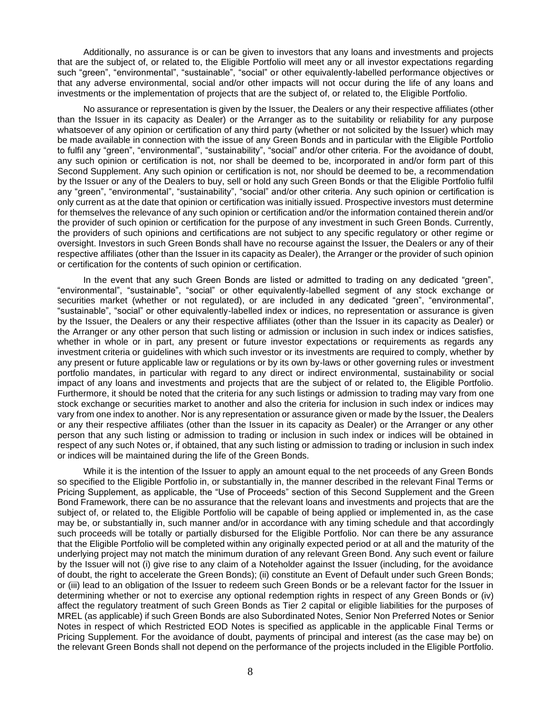Additionally, no assurance is or can be given to investors that any loans and investments and projects that are the subject of, or related to, the Eligible Portfolio will meet any or all investor expectations regarding such "green", "environmental", "sustainable", "social" or other equivalently-labelled performance objectives or that any adverse environmental, social and/or other impacts will not occur during the life of any loans and investments or the implementation of projects that are the subject of, or related to, the Eligible Portfolio.

No assurance or representation is given by the Issuer, the Dealers or any their respective affiliates (other than the Issuer in its capacity as Dealer) or the Arranger as to the suitability or reliability for any purpose whatsoever of any opinion or certification of any third party (whether or not solicited by the Issuer) which may be made available in connection with the issue of any Green Bonds and in particular with the Eligible Portfolio to fulfil any "green", "environmental", "sustainability", "social" and/or other criteria. For the avoidance of doubt, any such opinion or certification is not, nor shall be deemed to be, incorporated in and/or form part of this Second Supplement. Any such opinion or certification is not, nor should be deemed to be, a recommendation by the Issuer or any of the Dealers to buy, sell or hold any such Green Bonds or that the Eligible Portfolio fulfil any "green", "environmental", "sustainability", "social" and/or other criteria. Any such opinion or certification is only current as at the date that opinion or certification was initially issued. Prospective investors must determine for themselves the relevance of any such opinion or certification and/or the information contained therein and/or the provider of such opinion or certification for the purpose of any investment in such Green Bonds. Currently, the providers of such opinions and certifications are not subject to any specific regulatory or other regime or oversight. Investors in such Green Bonds shall have no recourse against the Issuer, the Dealers or any of their respective affiliates (other than the Issuer in its capacity as Dealer), the Arranger or the provider of such opinion or certification for the contents of such opinion or certification.

In the event that any such Green Bonds are listed or admitted to trading on any dedicated "green", "environmental", "sustainable", "social" or other equivalently-labelled segment of any stock exchange or securities market (whether or not regulated), or are included in any dedicated "green", "environmental", "sustainable", "social" or other equivalently-labelled index or indices, no representation or assurance is given by the Issuer, the Dealers or any their respective affiliates (other than the Issuer in its capacity as Dealer) or the Arranger or any other person that such listing or admission or inclusion in such index or indices satisfies, whether in whole or in part, any present or future investor expectations or requirements as regards any investment criteria or guidelines with which such investor or its investments are required to comply, whether by any present or future applicable law or regulations or by its own by-laws or other governing rules or investment portfolio mandates, in particular with regard to any direct or indirect environmental, sustainability or social impact of any loans and investments and projects that are the subject of or related to, the Eligible Portfolio. Furthermore, it should be noted that the criteria for any such listings or admission to trading may vary from one stock exchange or securities market to another and also the criteria for inclusion in such index or indices may vary from one index to another. Nor is any representation or assurance given or made by the Issuer, the Dealers or any their respective affiliates (other than the Issuer in its capacity as Dealer) or the Arranger or any other person that any such listing or admission to trading or inclusion in such index or indices will be obtained in respect of any such Notes or, if obtained, that any such listing or admission to trading or inclusion in such index or indices will be maintained during the life of the Green Bonds.

While it is the intention of the Issuer to apply an amount equal to the net proceeds of any Green Bonds so specified to the Eligible Portfolio in, or substantially in, the manner described in the relevant Final Terms or Pricing Supplement, as applicable, the "Use of Proceeds" section of this Second Supplement and the Green Bond Framework, there can be no assurance that the relevant loans and investments and projects that are the subject of, or related to, the Eligible Portfolio will be capable of being applied or implemented in, as the case may be, or substantially in, such manner and/or in accordance with any timing schedule and that accordingly such proceeds will be totally or partially disbursed for the Eligible Portfolio. Nor can there be any assurance that the Eligible Portfolio will be completed within any originally expected period or at all and the maturity of the underlying project may not match the minimum duration of any relevant Green Bond. Any such event or failure by the Issuer will not (i) give rise to any claim of a Noteholder against the Issuer (including, for the avoidance of doubt, the right to accelerate the Green Bonds); (ii) constitute an Event of Default under such Green Bonds; or (iii) lead to an obligation of the Issuer to redeem such Green Bonds or be a relevant factor for the Issuer in determining whether or not to exercise any optional redemption rights in respect of any Green Bonds or (iv) affect the regulatory treatment of such Green Bonds as Tier 2 capital or eligible liabilities for the purposes of MREL (as applicable) if such Green Bonds are also Subordinated Notes, Senior Non Preferred Notes or Senior Notes in respect of which Restricted EOD Notes is specified as applicable in the applicable Final Terms or Pricing Supplement. For the avoidance of doubt, payments of principal and interest (as the case may be) on the relevant Green Bonds shall not depend on the performance of the projects included in the Eligible Portfolio.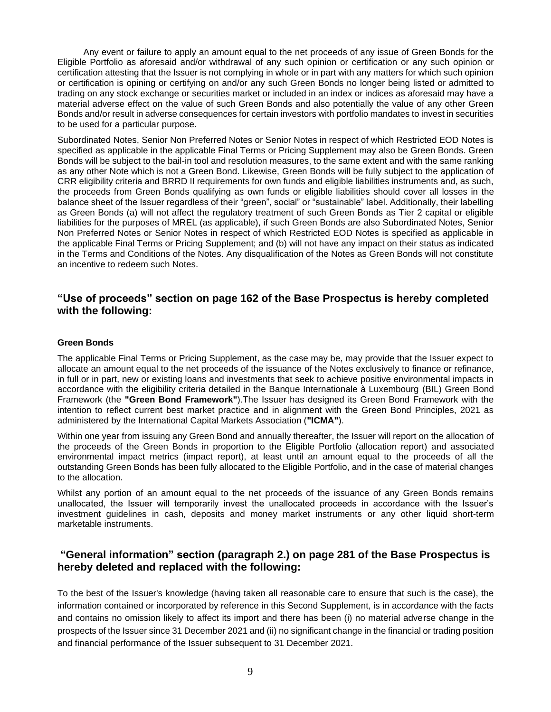Any event or failure to apply an amount equal to the net proceeds of any issue of Green Bonds for the Eligible Portfolio as aforesaid and/or withdrawal of any such opinion or certification or any such opinion or certification attesting that the Issuer is not complying in whole or in part with any matters for which such opinion or certification is opining or certifying on and/or any such Green Bonds no longer being listed or admitted to trading on any stock exchange or securities market or included in an index or indices as aforesaid may have a material adverse effect on the value of such Green Bonds and also potentially the value of any other Green Bonds and/or result in adverse consequences for certain investors with portfolio mandates to invest in securities to be used for a particular purpose.

Subordinated Notes, Senior Non Preferred Notes or Senior Notes in respect of which Restricted EOD Notes is specified as applicable in the applicable Final Terms or Pricing Supplement may also be Green Bonds. Green Bonds will be subject to the bail-in tool and resolution measures, to the same extent and with the same ranking as any other Note which is not a Green Bond. Likewise, Green Bonds will be fully subject to the application of CRR eligibility criteria and BRRD II requirements for own funds and eligible liabilities instruments and, as such, the proceeds from Green Bonds qualifying as own funds or eligible liabilities should cover all losses in the balance sheet of the Issuer regardless of their "green", social" or "sustainable" label. Additionally, their labelling as Green Bonds (a) will not affect the regulatory treatment of such Green Bonds as Tier 2 capital or eligible liabilities for the purposes of MREL (as applicable), if such Green Bonds are also Subordinated Notes, Senior Non Preferred Notes or Senior Notes in respect of which Restricted EOD Notes is specified as applicable in the applicable Final Terms or Pricing Supplement; and (b) will not have any impact on their status as indicated in the Terms and Conditions of the Notes. Any disqualification of the Notes as Green Bonds will not constitute an incentive to redeem such Notes.

## **"Use of proceeds" section on page 162 of the Base Prospectus is hereby completed with the following:**

### **Green Bonds**

The applicable Final Terms or Pricing Supplement, as the case may be, may provide that the Issuer expect to allocate an amount equal to the net proceeds of the issuance of the Notes exclusively to finance or refinance, in full or in part, new or existing loans and investments that seek to achieve positive environmental impacts in accordance with the eligibility criteria detailed in the Banque Internationale à Luxembourg (BIL) Green Bond Framework (the **"Green Bond Framework"**).The Issuer has designed its Green Bond Framework with the intention to reflect current best market practice and in alignment with the Green Bond Principles, 2021 as administered by the International Capital Markets Association (**"ICMA"**).

Within one year from issuing any Green Bond and annually thereafter, the Issuer will report on the allocation of the proceeds of the Green Bonds in proportion to the Eligible Portfolio (allocation report) and associated environmental impact metrics (impact report), at least until an amount equal to the proceeds of all the outstanding Green Bonds has been fully allocated to the Eligible Portfolio, and in the case of material changes to the allocation.

Whilst any portion of an amount equal to the net proceeds of the issuance of any Green Bonds remains unallocated, the Issuer will temporarily invest the unallocated proceeds in accordance with the Issuer's investment guidelines in cash, deposits and money market instruments or any other liquid short-term marketable instruments.

## **"General information" section (paragraph 2.) on page 281 of the Base Prospectus is hereby deleted and replaced with the following:**

To the best of the Issuer's knowledge (having taken all reasonable care to ensure that such is the case), the information contained or incorporated by reference in this Second Supplement, is in accordance with the facts and contains no omission likely to affect its import and there has been (i) no material adverse change in the prospects of the Issuer since 31 December 2021 and (ii) no significant change in the financial or trading position and financial performance of the Issuer subsequent to 31 December 2021.